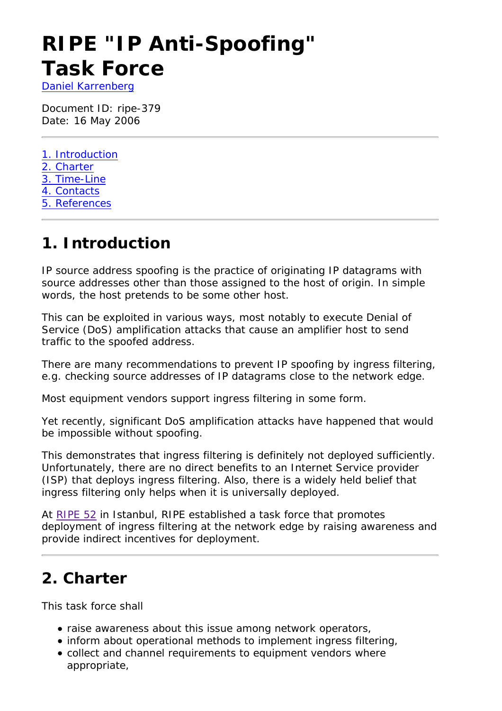# **RIPE "IP Anti-Spoofing" Task Force**

*Daniel Karrenberg*

Document ID: ripe-379 Date: 16 May 2006

- 1. Introduction
- 2. Charter
- 3. Time-Line
- 4. Contacts
- 5. References

### **1. Introduction**

IP source address spoofing is the practice of originating IP datagrams with source addresses other than those assigned to the host of origin. In simple words, the host pretends to be some other host.

This can be exploited in various ways, most notably to execute Denial of Service (DoS) amplification attacks that cause an amplifier host to send traffic to the spoofed address.

There are many recommendations to prevent IP spoofing by ingress filtering, e.g. checking source addresses of IP datagrams close to the network edge.

Most equipment vendors support ingress filtering in some form.

Yet recently, significant DoS amplification attacks have happened that would be impossible without spoofing.

This demonstrates that ingress filtering is definitely not deployed sufficiently. Unfortunately, there are no direct benefits to an Internet Service provider (ISP) that deploys ingress filtering. Also, there is a widely held belief that ingress filtering only helps when it is universally deployed.

At RIPE 52 in Istanbul, RIPE established a task force that promotes deployment of ingress filtering at the network edge by raising awareness and provide indirect incentives for deployment.

# **2. Charter**

This task force shall

- raise awareness about this issue among network operators,
- inform about operational methods to implement ingress filtering,
- collect and channel requirements to equipment vendors where appropriate,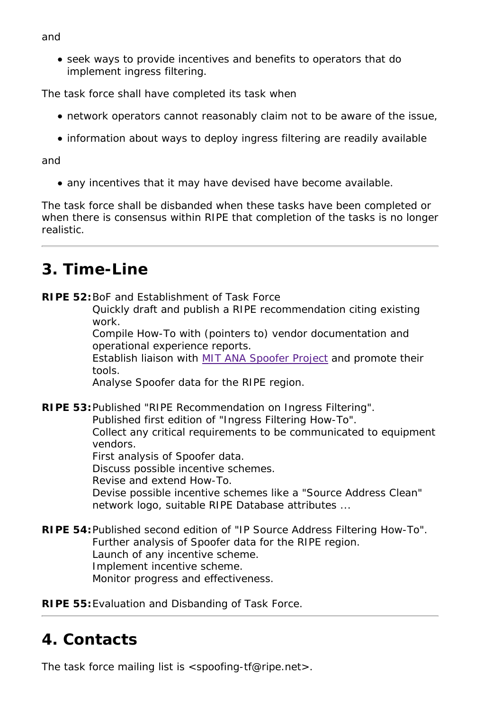seek ways to provide incentives and benefits to operators that do implement ingress filtering.

The task force shall have completed its task when

- network operators cannot reasonably claim not to be aware of the issue,
- information about ways to deploy ingress filtering are readily available

#### *and*

any incentives that it may have devised have become available.

The task force shall be disbanded when these tasks have been completed or when there is consensus within RIPE that completion of the tasks is no longer realistic.

# **3. Time-Line**

**RIPE 52:**BoF and Establishment of Task Force

Quickly draft and publish a RIPE recommendation citing existing work.

Compile How-To with (pointers to) vendor documentation and operational experience reports.

Establish liaison with MIT ANA Spoofer Project and promote their tools.

Analyse Spoofer data for the RIPE region.

**RIPE 53:**Published "RIPE Recommendation on Ingress Filtering".

Published first edition of "Ingress Filtering How-To". Collect any critical requirements to be communicated to equipment vendors.

First analysis of Spoofer data.

Discuss possible incentive schemes.

Revise and extend How-To.

Devise possible incentive schemes like a "Source Address Clean" network logo, suitable RIPE Database attributes ...

**RIPE 54:**Published second edition of "IP Source Address Filtering How-To". Further analysis of Spoofer data for the RIPE region. Launch of any incentive scheme. Implement incentive scheme. Monitor progress and effectiveness.

**RIPE 55:**Evaluation and Disbanding of Task Force.

### **4. Contacts**

The task force mailing list is <spoofing-tf@ripe.net>.

#### *and*